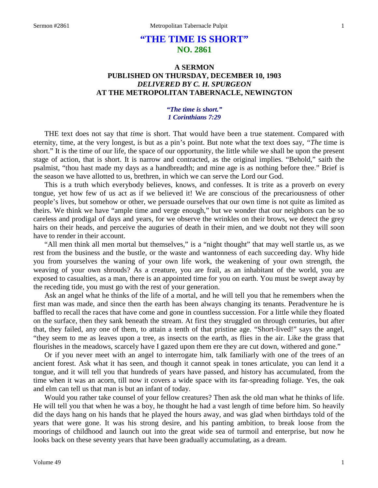## **"THE TIME IS SHORT" NO. 2861**

## **A SERMON PUBLISHED ON THURSDAY, DECEMBER 10, 1903** *DELIVERED BY C. H. SPURGEON* **AT THE METROPOLITAN TABERNACLE, NEWINGTON**

## *"The time is short." 1 Corinthians 7:29*

THE text does not say that *time* is short. That would have been a true statement. Compared with eternity, time, at the very longest, is but as a pin's point. But note what the text does say, *"The* time is short." It is the time of our life, the space of our opportunity, the little while we shall be upon the present stage of action, that is short. It is narrow and contracted, as the original implies. "Behold," saith the psalmist, "thou hast made my days as a handbreadth; and mine age is as nothing before thee." Brief is the season we have allotted to us, brethren, in which we can serve the Lord our God.

This is a truth which everybody believes, knows, and confesses. It is trite as a proverb on every tongue, yet how few of us act as if we believed it! We are conscious of the precariousness of other people's lives, but somehow or other, we persuade ourselves that our own time is not quite as limited as theirs. We think we have "ample time and verge enough," but we wonder that our neighbors can be so careless and prodigal of days and years, for we observe the wrinkles on their brows, we detect the grey hairs on their heads, and perceive the auguries of death in their mien, and we doubt not they will soon have to render in their account.

"All men think all men mortal but themselves," is a "night thought" that may well startle us, as we rest from the business and the bustle, or the waste and wantonness of each succeeding day. Why hide you from yourselves the waning of your own life work, the weakening of your own strength, the weaving of your own shrouds? As a creature, you are frail, as an inhabitant of the world, you are exposed to casualties, as a man, there is an appointed time for you on earth. You must be swept away by the receding tide, you must go with the rest of your generation.

Ask an angel what he thinks of the life of a mortal, and he will tell you that he remembers when the first man was made, and since then the earth has been always changing its tenants. Peradventure he is baffled to recall the races that have come and gone in countless succession. For a little while they floated on the surface, then they sank beneath the stream. At first they struggled on through centuries, but after that, they failed, any one of them, to attain a tenth of that pristine age. "Short-lived!" says the angel, "they seem to me as leaves upon a tree, as insects on the earth, as flies in the air. Like the grass that flourishes in the meadows, scarcely have I gazed upon them ere they are cut down, withered and gone."

Or if you never meet with an angel to interrogate him, talk familiarly with one of the trees of an ancient forest. Ask what it has seen, and though it cannot speak in tones articulate, you can lend it a tongue, and it will tell you that hundreds of years have passed, and history has accumulated, from the time when it was an acorn, till now it covers a wide space with its far-spreading foliage. Yes, the oak and elm can tell us that man is but an infant of today.

Would you rather take counsel of your fellow creatures? Then ask the old man what he thinks of life. He will tell you that when he was a boy, he thought he had a vast length of time before him. So heavily did the days hang on his hands that he played the hours away, and was glad when birthdays told of the years that were gone. It was his strong desire, and his panting ambition, to break loose from the moorings of childhood and launch out into the great wide sea of turmoil and enterprise, but now he looks back on these seventy years that have been gradually accumulating, as a dream.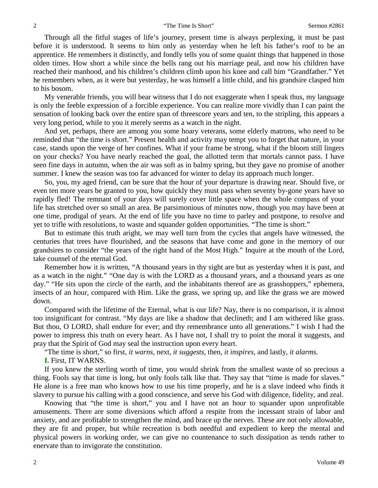Through all the fitful stages of life's journey, present time is always perplexing, it must be past before it is understood. It seems to him only as yesterday when he left his father's roof to be an apprentice. He remembers it distinctly, and fondly tells you of some quaint things that happened in those olden times. How short a while since the bells rang out his marriage peal, and now his children have reached their manhood, and his children's children climb upon his knee and call him "Grandfather." Yet he remembers when, as it were but yesterday, he was himself a little child, and his grandsire clasped him to his bosom.

My venerable friends, you will bear witness that I do not exaggerate when I speak thus, my language is only the feeble expression of a forcible experience. You can realize more vividly than I can paint the sensation of looking back over the entire span of threescore years and ten, to the stripling, this appears a very long period, while to you it merely seems as a watch in the night.

And yet, perhaps, there are among you some hoary veterans, some elderly matrons, who need to be reminded that "the time is short." Present health and activity may tempt you to forget that nature, in your case, stands upon the verge of her confines. What if your frame be strong, what if the bloom still lingers on your checks? You have nearly reached the goal, the allotted term that mortals cannot pass. I have seen fine days in autumn, when the air was soft as in balmy spring, but they gave no promise of another summer. I knew the season was too far advanced for winter to delay its approach much longer.

So, you, my aged friend, can be sure that the hour of your departure is drawing near. Should five, or even ten more years be granted to you, how quickly they must pass when seventy by-gone years have so rapidly fled! The remnant of your days will surely cover little space when the whole compass of your life has stretched over so small an area. Be parsimonious of minutes now, though you may have been at one time, prodigal of years. At the end of life you have no time to parley and postpone, to resolve and yet to trifle with resolutions, to waste and squander golden opportunities. "The time is short."

But to estimate this truth aright, we may well turn from the cycles that angels have witnessed, the centuries that trees have flourished, and the seasons that have come and gone in the memory of our grandsires to consider "the years of the right hand of the Most High." Inquire at the mouth of the Lord, take counsel of the eternal God.

Remember how it is written, "A thousand years in thy sight are but as yesterday when it is past, and as a watch in the night." "One day is with the LORD as a thousand years, and a thousand years as one day." "He sits upon the circle of the earth, and the inhabitants thereof are as grasshoppers," ephemera, insects of an hour, compared with Him. Like the grass, we spring up, and like the grass we are mowed down.

Compared with the lifetime of the Eternal, what is our life? Nay, there is no comparison, it is almost too insignificant for contrast. "My days are like a shadow that declineth; and I am withered like grass. But thou, O LORD, shall endure for ever; and thy remembrance unto all generations." I wish I had the power to impress this truth on every heart. As I have not, I shall try to point the moral it suggests, and pray that the Spirit of God may seal the instruction upon every heart.

"The time is short," so first, *it warns,* next, *it suggests,* then, *it inspires,* and lastly, *it alarms.* 

**I.** First, IT WARNS.

If you knew the sterling worth of time, you would shrink from the smallest waste of so precious a thing. Fools say that time is long, but only fools talk like that. They say that "time is made for slaves." He alone is a free man who knows how to use his time properly, and he is a slave indeed who finds it slavery to pursue his calling with a good conscience, and serve his God with diligence, fidelity, and zeal.

Knowing that "the time is short," you and I have not an hour to squander upon unprofitable amusements. There are some diversions which afford a respite from the incessant strain of labor and anxiety, and are profitable to strengthen the mind, and brace up the nerves. These are not only allowable, they are fit and proper, but while recreation is both needful and expedient to keep the mental and physical powers in working order, we can give no countenance to such dissipation as tends rather to enervate than to invigorate the constitution.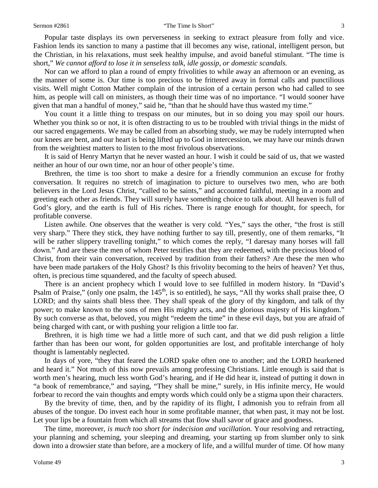Popular taste displays its own perverseness in seeking to extract pleasure from folly and vice. Fashion lends its sanction to many a pastime that ill becomes any wise, rational, intelligent person, but the Christian, in his relaxations, must seek healthy impulse, and avoid baneful stimulant. "The time is short," *We cannot afford to lose it in senseless talk, idle gossip, or domestic scandals.* 

Nor can we afford to plan a round of empty frivolities to while away an afternoon or an evening, as the manner of some is. Our time is too precious to be frittered away in formal calls and punctilious visits. Well might Cotton Mather complain of the intrusion of a certain person who had called to see him, as people will call on ministers, as though their time was of no importance. "I would sooner have given that man a handful of money," said he, "than that he should have thus wasted my time."

You count it a little thing to trespass on our minutes, but in so doing you may spoil our hours. Whether you think so or not, it is often distracting to us to be troubled with trivial things in the midst of our sacred engagements. We may be called from an absorbing study, we may be rudely interrupted when our knees are bent, and our heart is being lifted up to God in intercession, we may have our minds drawn from the weightiest matters to listen to the most frivolous observations.

It is said of Henry Martyn that he never wasted an hour. I wish it could be said of us, that we wasted neither an hour of our own time, nor an hour of other people's time.

Brethren, the time is too short to make a desire for a friendly communion an excuse for frothy conversation. It requires no stretch of imagination to picture to ourselves two men, who are both believers in the Lord Jesus Christ, "called to be saints," and accounted faithful, meeting in a room and greeting each other as friends. They will surely have something choice to talk about. All heaven is full of God's glory, and the earth is full of His riches. There is range enough for thought, for speech, for profitable converse.

Listen awhile. One observes that the weather is very cold. "Yes," says the other, "the frost is still very sharp." There they stick, they have nothing further to say till, presently, one of them remarks, "It will be rather slippery travelling tonight," to which comes the reply, "I daresay many horses will fall down." And are these the men of whom Peter testifies that they are redeemed, with the precious blood of Christ, from their vain conversation, received by tradition from their fathers? Are these the men who have been made partakers of the Holy Ghost? Is this frivolity becoming to the heirs of heaven? Yet thus, often, is precious time squandered, and the faculty of speech abused.

There is an ancient prophecy which I would love to see fulfilled in modern history. In "David's Psalm of Praise," (only one psalm, the  $145<sup>th</sup>$ , is so entitled), he says, "All thy works shall praise thee, O LORD; and thy saints shall bless thee. They shall speak of the glory of thy kingdom, and talk of thy power; to make known to the sons of men His mighty acts, and the glorious majesty of His kingdom." By such converse as that, beloved, you might "redeem the time" in these evil days, but you are afraid of being charged with cant, or with pushing your religion a little too far.

Brethren, it is high time we had a little more of such cant, and that we did push religion a little farther than has been our wont, for golden opportunities are lost, and profitable interchange of holy thought is lamentably neglected.

In days of yore, "they that feared the LORD spake often one to another; and the LORD hearkened and heard it." Not much of this now prevails among professing Christians. Little enough is said that is worth men's hearing, much less worth God's hearing, and if He did hear it, instead of putting it down in "a book of remembrance," and saying, "They shall be mine," surely, in His infinite mercy, He would forbear to record the vain thoughts and empty words which could only be a stigma upon their characters.

By the brevity of time, then, and by the rapidity of its flight, I admonish you to refrain from all abuses of the tongue. Do invest each hour in some profitable manner, that when past, it may not be lost. Let your lips be a fountain from which all streams that flow shall savor of grace and goodness.

The time, moreover, *is much too short for indecision and vacillation.* Your resolving and retracting, your planning and scheming, your sleeping and dreaming, your starting up from slumber only to sink down into a drowsier state than before, are a mockery of life, and a willful murder of time. Of how many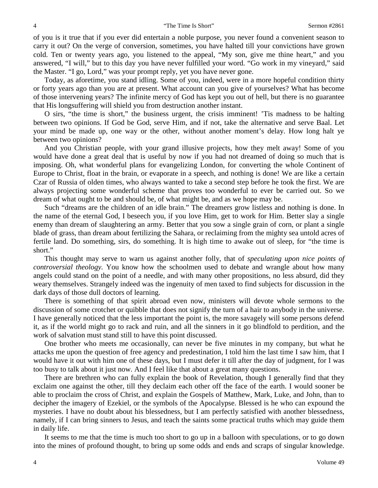of you is it true that if you ever did entertain a noble purpose, you never found a convenient season to carry it out? On the verge of conversion, sometimes, you have halted till your convictions have grown cold. Ten or twenty years ago, you listened to the appeal, "My son, give me thine heart," and you answered, "I will," but to this day you have never fulfilled your word. "Go work in my vineyard," said the Master. "I go, Lord," was your prompt reply, yet you have never gone.

Today, as aforetime, you stand idling. Some of you, indeed, were in a more hopeful condition thirty or forty years ago than you are at present. What account can you give of yourselves? What has become of those intervening years? The infinite mercy of God has kept you out of hell, but there is no guarantee that His longsuffering will shield you from destruction another instant.

O sirs, "the time is short," the business urgent, the crisis imminent! 'Tis madness to be halting between two opinions. If God be God, serve Him, and if not, take the alternative and serve Baal. Let your mind be made up, one way or the other, without another moment's delay. How long halt ye between two opinions?

And you Christian people, with your grand illusive projects, how they melt away! Some of you would have done a great deal that is useful by now if you had not dreamed of doing so much that is imposing. Oh, what wonderful plans for evangelizing London, for converting the whole Continent of Europe to Christ, float in the brain, or evaporate in a speech, and nothing is done! We are like a certain Czar of Russia of olden times, who always wanted to take a second step before he took the first. We are always projecting some wonderful scheme that proves too wonderful to ever be carried out. So we dream of what ought to be and should be, of what might be, and as we hope may be.

Such "dreams are the children of an idle brain." The dreamers grow listless and nothing is done. In the name of the eternal God, I beseech you, if you love Him, get to work for Him. Better slay a single enemy than dream of slaughtering an army. Better that you sow a single grain of corn, or plant a single blade of grass, than dream about fertilizing the Sahara, or reclaiming from the mighty sea untold acres of fertile land. Do something, sirs, do something. It is high time to awake out of sleep, for "the time is short."

This thought may serve to warn us against another folly, that of *speculating upon nice points of controversial theology.* You know how the schoolmen used to debate and wrangle about how many angels could stand on the point of a needle, and with many other propositions, no less absurd, did they weary themselves. Strangely indeed was the ingenuity of men taxed to find subjects for discussion in the dark days of those dull doctors of learning.

There is something of that spirit abroad even now, ministers will devote whole sermons to the discussion of some crotchet or quibble that does not signify the turn of a hair to anybody in the universe. I have generally noticed that the less important the point is, the more savagely will some persons defend it, as if the world might go to rack and ruin, and all the sinners in it go blindfold to perdition, and the work of salvation must stand still to have this point discussed.

One brother who meets me occasionally, can never be five minutes in my company, but what he attacks me upon the question of free agency and predestination, I told him the last time I saw him, that I would have it out with him one of these days, but I must defer it till after the day of judgment, for I was too busy to talk about it just now. And I feel like that about a great many questions.

There are brethren who can fully explain the book of Revelation, though I generally find that they exclaim one against the other, till they declaim each other off the face of the earth. I would sooner be able to proclaim the cross of Christ, and explain the Gospels of Matthew, Mark, Luke, and John, than to decipher the imagery of Ezekiel, or the symbols of the Apocalypse. Blessed is he who can expound the mysteries. I have no doubt about his blessedness, but I am perfectly satisfied with another blessedness, namely, if I can bring sinners to Jesus, and teach the saints some practical truths which may guide them in daily life.

It seems to me that the time is much too short to go up in a balloon with speculations, or to go down into the mines of profound thought, to bring up some odds and ends and scraps of singular knowledge.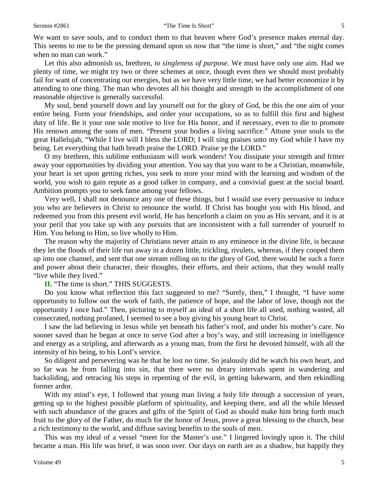We want to save souls, and to conduct them to that heaven where God's presence makes eternal day. This seems to me to be the pressing demand upon us now that "the time is short," and "the night comes when no man can work."

Let this also admonish us, brethren, *to singleness of purpose.* We must have only one aim. Had we plenty of time, we might try two or three schemes at once, though even then we should most probably fail for want of concentrating our energies, but as we have very little time, we had better economize it by attending to one thing. The man who devotes all his thought and strength to the accomplishment of one reasonable objective is generally successful.

My soul, bend yourself down and lay yourself out for the glory of God, be this the one aim of your entire being. Form your friendships, and order your occupations, so as to fulfill this first and highest duty of life. Be it your one sole motive to live for His honor, and if necessary, even to die to promote His renown among the sons of men. "Present your bodies a living sacrifice." Attune your souls to the great Hallelujah, "While I live will I bless the LORD; I will sing praises unto my God while I have my being. Let everything that hath breath praise the LORD. Praise ye the LORD."

O my brethren, this sublime enthusiasm will work wonders! You dissipate your strength and fritter away your opportunities by dividing your attention. You say that you want to be a Christian, meanwhile, your heart is set upon getting riches, you seek to store your mind with the learning and wisdom of the world, you wish to gain repute as a good talker in company, and a convivial guest at the social board. Ambition prompts you to seek fame among your fellows.

Very well, I shall not denounce any one of these things, but I would use every persuasive to induce you who are believers in Christ to renounce the world. If Christ has bought you with His blood, and redeemed you from this present evil world, He has henceforth a claim on you as His servant, and it is at your peril that you take up with any pursuits that are inconsistent with a full surrender of yourself to Him. You belong to Him, so live wholly to Him.

The reason why the majority of Christians never attain to any eminence in the divine life, is because they let the floods of their life run away in a dozen little, trickling, rivulets, whereas, if they cooped them up into one channel, and sent that one stream rolling on to the glory of God, there would be such a force and power about their character, their thoughts, their efforts, and their actions, that they would really "live while they lived."

## **II.** "The time is short." THIS SUGGESTS.

Do you know what reflection this fact suggested to me? "Surely, then," I thought, "I have some opportunity to follow out the work of faith, the patience of hope, and the labor of love, though not the opportunity I once had." Then, picturing to myself an ideal of a short life all used, nothing wasted, all consecrated, nothing profaned, I seemed to see a boy giving his young heart to Christ.

I saw the lad believing in Jesus while yet beneath his father's roof, and under his mother's care. No sooner saved than he began at once to serve God after a boy's way, and still increasing in intelligence and energy as a stripling, and afterwards as a young man, from the first he devoted himself, with all the intensity of his being, to his Lord's service.

So diligent and persevering was he that he lost no time. So jealously did he watch his own heart, and so far was he from falling into sin, that there were no dreary intervals spent in wandering and backsliding, and retracing his steps in repenting of the evil, in getting lukewarm, and then rekindling former ardor.

With my mind's eye, I followed that young man living a holy life through a succession of years, getting up to the highest possible platform of spirituality, and keeping there, and all the while blessed with such abundance of the graces and gifts of the Spirit of God as should make him bring forth much fruit to the glory of the Father, do much for the honor of Jesus, prove a great blessing to the church, bear a rich testimony to the world, and diffuse saving benefits to the souls of men.

This was my ideal of a vessel "meet for the Master's use." I lingered lovingly upon it. The child became a man. His life was brief, it was soon over. Our days on earth are as a shadow, but happily they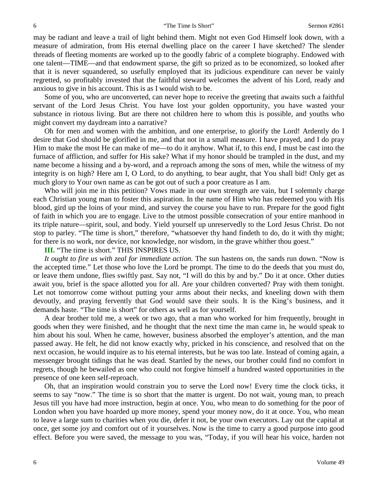may be radiant and leave a trail of light behind them. Might not even God Himself look down, with a measure of admiration, from His eternal dwelling place on the career I have sketched? The slender threads of fleeting moments are worked up to the goodly fabric of a complete biography. Endowed with one talent—TIME—and that endowment sparse, the gift so prized as to be economized, so looked after that it is never squandered, so usefully employed that its judicious expenditure can never be vainly regretted, so profitably invested that the faithful steward welcomes the advent of his Lord, ready and anxious to give in his account. This is as I would wish to be.

Some of you, who are unconverted, can never hope to receive the greeting that awaits such a faithful servant of the Lord Jesus Christ. You have lost your golden opportunity, you have wasted your substance in riotous living. But are there not children here to whom this is possible, and youths who might convert my daydream into a narrative?

Oh for men and women with the ambition, and one enterprise, to glorify the Lord! Ardently do I desire that God should be glorified in me, and that not in a small measure. I have prayed, and I do pray Him to make the most He can make of me—to do it anyhow. What if, to this end, I must be cast into the furnace of affliction, and suffer for His sake? What if my honor should be trampled in the dust, and my name become a hissing and a by-word, and a reproach among the sons of men, while the witness of my integrity is on high? Here am I, O Lord, to do anything, to bear aught, that You shall bid! Only get as much glory to Your own name as can be got out of such a poor creature as I am.

Who will join me in this petition? Vows made in our own strength are vain, but I solemnly charge each Christian young man to foster this aspiration. In the name of Him who has redeemed you with His blood, gird up the loins of your mind, and survey the course you have to run. Prepare for the good fight of faith in which you are to engage. Live to the utmost possible consecration of your entire manhood in its triple nature—spirit, soul, and body. Yield yourself up unreservedly to the Lord Jesus Christ. Do not stop to parley. "The time is short," therefore, "whatsoever thy hand findeth to do, do it with thy might; for there is no work, nor device, nor knowledge, nor wisdom, in the grave whither thou goest."

**III.** "The time is short." THIS INSPIRES US.

It ought to fire us with zeal for immediate action. The sun hastens on, the sands run down. "Now is the accepted time." Let those who love the Lord be prompt. The time to do the deeds that you must do, or leave them undone, flies swiftly past. Say not, "I will do this by and by." Do it at once. Other duties await you, brief is the space allotted you for all. Are your children converted? Pray with them tonight. Let not tomorrow come without putting your arms about their necks, and kneeling down with them devoutly, and praying fervently that God would save their souls. It is the King's business, and it demands haste. "The time is short" for others as well as for yourself.

A dear brother told me, a week or two ago, that a man who worked for him frequently, brought in goods when they were finished, and he thought that the next time the man came in, he would speak to him about his soul. When he came, however, business absorbed the employer's attention, and the man passed away. He felt, he did not know exactly why, pricked in his conscience, and resolved that on the next occasion, he would inquire as to his eternal interests, but he was too late. Instead of coming again, a messenger brought tidings that he was dead. Startled by the news, our brother could find no comfort in regrets, though he bewailed as one who could not forgive himself a hundred wasted opportunities in the presence of one keen self-reproach.

Oh, that an inspiration would constrain you to serve the Lord now! Every time the clock ticks, it seems to say "now." The time is so short that the matter is urgent. Do not wait, young man, to preach Jesus till you have had more instruction, begin at once. You, who mean to do something for the poor of London when you have hoarded up more money, spend your money now, do it at once. You, who mean to leave a large sum to charities when you die, defer it not, be your own executors. Lay out the capital at once, get some joy and comfort out of it yourselves. Now is the time to carry a good purpose into good effect. Before you were saved, the message to you was, "Today, if you will hear his voice, harden not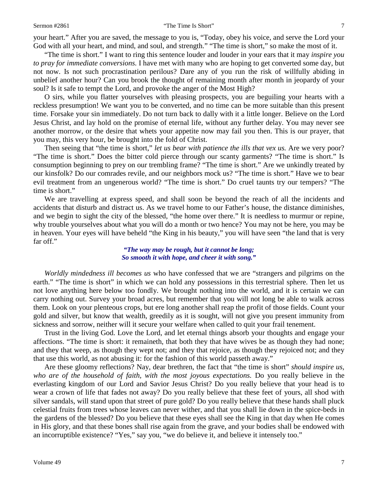your heart." After you are saved, the message to you is, "Today, obey his voice, and serve the Lord your God with all your heart, and mind, and soul, and strength." "The time is short," so make the most of it.

"The time is short." I want to ring this sentence louder and louder in your ears that it may *inspire you to pray for immediate conversions.* I have met with many who are hoping to get converted some day, but not now. Is not such procrastination perilous? Dare any of you run the risk of willfully abiding in unbelief another hour? Can you brook the thought of remaining month after month in jeopardy of your soul? Is it safe to tempt the Lord, and provoke the anger of the Most High?

O sirs, while you flatter yourselves with pleasing prospects, you are beguiling your hearts with a reckless presumption! We want you to be converted, and no time can be more suitable than this present time. Forsake your sin immediately. Do not turn back to dally with it a little longer. Believe on the Lord Jesus Christ, and lay hold on the promise of eternal life, without any further delay. You may never see another morrow, or the desire that whets your appetite now may fail you then. This is our prayer, that you may, this very hour, be brought into the fold of Christ.

Then seeing that "the time is short," *let us bear with patience the ills that vex us*. Are we very poor? "The time is short." Does the bitter cold pierce through our scanty garments? "The time is short." Is consumption beginning to prey on our trembling frame? "The time is short." Are we unkindly treated by our kinsfolk? Do our comrades revile, and our neighbors mock us? "The time is short." Have we to bear evil treatment from an ungenerous world? "The time is short." Do cruel taunts try our tempers? "The time is short."

We are travelling at express speed, and shall soon be beyond the reach of all the incidents and accidents that disturb and distract us. As we travel home to our Father's house, the distance diminishes, and we begin to sight the city of the blessed, "the home over there." It is needless to murmur or repine, why trouble yourselves about what you will do a month or two hence? You may not be here, you may be in heaven. Your eyes will have beheld "the King in his beauty," you will have seen "the land that is very far off."

*"The way may be rough, but it cannot be long; So smooth it with hope, and cheer it with song."*

*Worldly mindedness ill becomes us* who have confessed that we are "strangers and pilgrims on the earth." "The time is short" in which we can hold any possessions in this terrestrial sphere. Then let us not love anything here below too fondly. We brought nothing into the world, and it is certain we can carry nothing out. Survey your broad acres, but remember that you will not long be able to walk across them. Look on your plenteous crops, but ere long another shall reap the profit of those fields. Count your gold and silver, but know that wealth, greedily as it is sought, will not give you present immunity from sickness and sorrow, neither will it secure your welfare when called to quit your frail tenement.

Trust in the living God. Love the Lord, and let eternal things absorb your thoughts and engage your affections. "The time is short: it remaineth, that both they that have wives be as though they had none; and they that weep, as though they wept not; and they that rejoice, as though they rejoiced not; and they that use this world, as not abusing it: for the fashion of this world passeth away."

Are these gloomy reflections? Nay, dear brethren, the fact that "the time is short" *should inspire us, who are of the household of faith, with the most joyous expectations.* Do you really believe in the everlasting kingdom of our Lord and Savior Jesus Christ? Do you really believe that your head is to wear a crown of life that fades not away? Do you really believe that these feet of yours, all shod with silver sandals, will stand upon that street of pure gold? Do you really believe that these hands shall pluck celestial fruits from trees whose leaves can never wither, and that you shall lie down in the spice-beds in the gardens of the blessed? Do you believe that these eyes shall see the King in that day when He comes in His glory, and that these bones shall rise again from the grave, and your bodies shall be endowed with an incorruptible existence? "Yes," say you, "we do believe it, and believe it intensely too."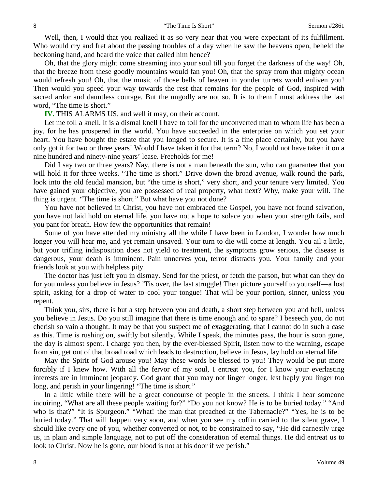Well, then, I would that you realized it as so very near that you were expectant of its fulfillment. Who would cry and fret about the passing troubles of a day when he saw the heavens open, beheld the beckoning hand, and heard the voice that called him hence?

Oh, that the glory might come streaming into your soul till you forget the darkness of the way! Oh, that the breeze from these goodly mountains would fan you! Oh, that the spray from that mighty ocean would refresh you! Oh, that the music of those bells of heaven in yonder turrets would enliven you! Then would you speed your way towards the rest that remains for the people of God, inspired with sacred ardor and dauntless courage. But the ungodly are not so. It is to them I must address the last word, "The time is short."

**IV.** THIS ALARMS US, and well it may, on their account.

Let me toll a knell. It is a dismal knell I have to toll for the unconverted man to whom life has been a joy, for he has prospered in the world. You have succeeded in the enterprise on which you set your heart. You have bought the estate that you longed to secure. It is a fine place certainly, but you have only got it for two or three years! Would I have taken it for that term? No, I would not have taken it on a nine hundred and ninety-nine years' lease. Freeholds for me!

Did I say two or three years? Nay, there is not a man beneath the sun, who can guarantee that you will hold it for three weeks. "The time is short." Drive down the broad avenue, walk round the park, look into the old feudal mansion, but "the time is short," very short, and your tenure very limited. You have gained your objective, you are possessed of real property, what next? Why, make your will. The thing is urgent. "The time is short." But what have you not done?

You have not believed in Christ, you have not embraced the Gospel, you have not found salvation, you have not laid hold on eternal life, you have not a hope to solace you when your strength fails, and you pant for breath. How few the opportunities that remain!

Some of you have attended my ministry all the while I have been in London, I wonder how much longer you will hear me, and yet remain unsaved. Your turn to die will come at length. You ail a little, but your trifling indisposition does not yield to treatment, the symptoms grow serious, the disease is dangerous, your death is imminent. Pain unnerves you, terror distracts you. Your family and your friends look at you with helpless pity.

The doctor has just left you in dismay. Send for the priest, or fetch the parson, but what can they do for you unless you believe in Jesus? 'Tis over, the last struggle! Then picture yourself to yourself—a lost spirit, asking for a drop of water to cool your tongue! That will be your portion, sinner, unless you repent.

Think you, sirs, there is but a step between you and death, a short step between you and hell, unless you believe in Jesus. Do you still imagine that there is time enough and to spare? I beseech you, do not cherish so vain a thought. It may be that you suspect me of exaggerating, that I cannot do in such a case as this. Time is rushing on, swiftly but silently. While I speak, the minutes pass, the hour is soon gone, the day is almost spent. I charge you then, by the ever-blessed Spirit, listen now to the warning, escape from sin, get out of that broad road which leads to destruction, believe in Jesus, lay hold on eternal life.

May the Spirit of God arouse you! May these words be blessed to you! They would be put more forcibly if I knew how. With all the fervor of my soul, I entreat you, for I know your everlasting interests are in imminent jeopardy. God grant that you may not linger longer, lest haply you linger too long, and perish in your lingering! "The time is short."

In a little while there will be a great concourse of people in the streets. I think I hear someone inquiring, "What are all these people waiting for?" "Do you not know? He is to be buried today." "And who is that?" "It is Spurgeon." "What! the man that preached at the Tabernacle?" "Yes, he is to be buried today." That will happen very soon, and when you see my coffin carried to the silent grave, I should like every one of you, whether converted or not, to be constrained to say, "He did earnestly urge us, in plain and simple language, not to put off the consideration of eternal things. He did entreat us to look to Christ. Now he is gone, our blood is not at his door if we perish."